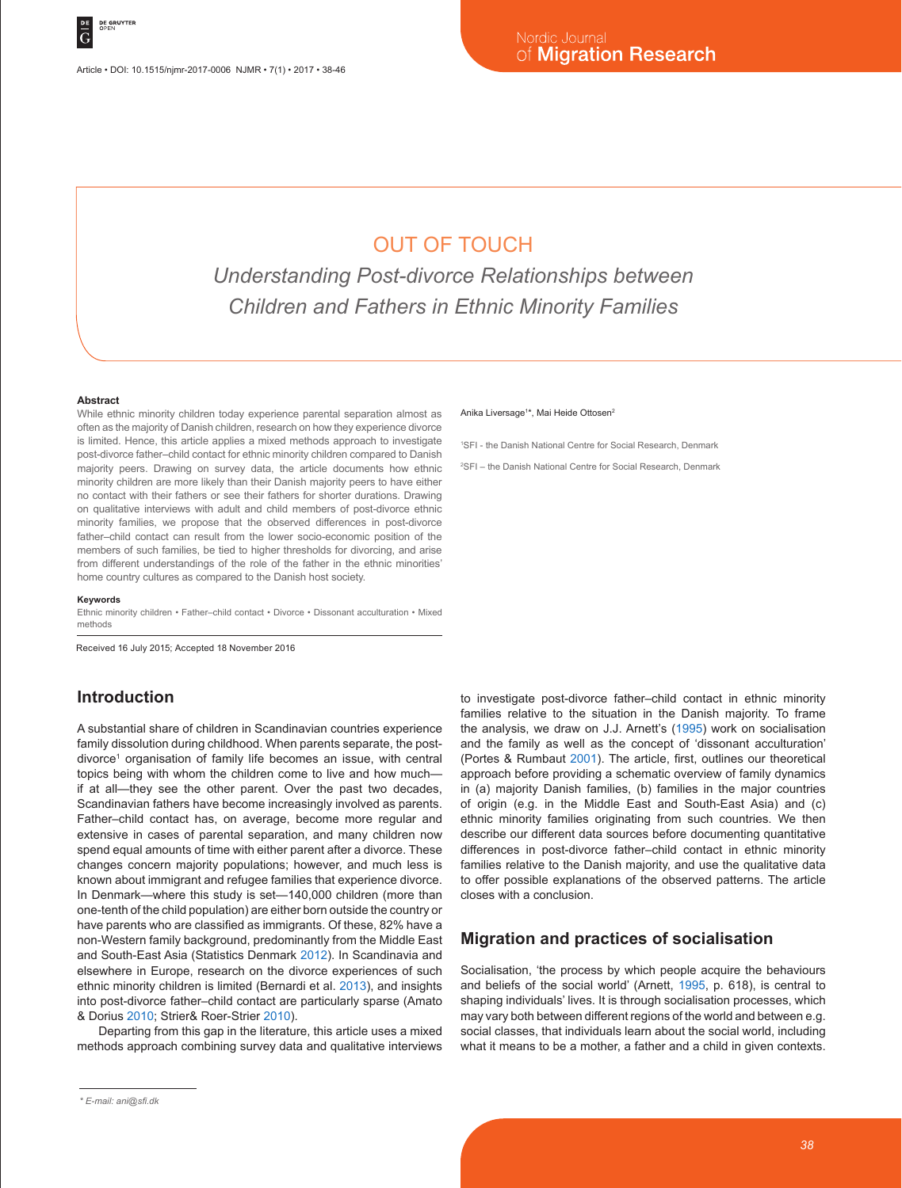# OUT OF TOUCH

*Understanding Post-divorce Relationships between Children and Fathers in Ethnic Minority Families*

#### **Abstract**

While ethnic minority children today experience parental separation almost as often as the majority of Danish children, research on how they experience divorce is limited. Hence, this article applies a mixed methods approach to investigate post-divorce father–child contact for ethnic minority children compared to Danish majority peers. Drawing on survey data, the article documents how ethnic minority children are more likely than their Danish majority peers to have either no contact with their fathers or see their fathers for shorter durations. Drawing on qualitative interviews with adult and child members of post-divorce ethnic minority families, we propose that the observed differences in post-divorce father–child contact can result from the lower socio-economic position of the members of such families, be tied to higher thresholds for divorcing, and arise from different understandings of the role of the father in the ethnic minorities' home country cultures as compared to the Danish host society.

#### **Keywords**

Ethnic minority children • Father–child contact • Divorce • Dissonant acculturation • Mixed methods

Received 16 July 2015; Accepted 18 November 2016

### **Introduction**

A substantial share of children in Scandinavian countries experience family dissolution during childhood. When parents separate, the postdivorce<sup>1</sup> organisation of family life becomes an issue, with central topics being with whom the children come to live and how much if at all—they see the other parent. Over the past two decades, Scandinavian fathers have become increasingly involved as parents. Father–child contact has, on average, become more regular and extensive in cases of parental separation, and many children now spend equal amounts of time with either parent after a divorce. These changes concern majority populations; however, and much less is known about immigrant and refugee families that experience divorce. In Denmark—where this study is set—140,000 children (more than one-tenth of the child population) are either born outside the country or have parents who are classified as immigrants. Of these, 82% have a non-Western family background, predominantly from the Middle East and South-East Asia (Statistics Denmark 2012). In Scandinavia and elsewhere in Europe, research on the divorce experiences of such ethnic minority children is limited (Bernardi et al. 2013), and insights into post-divorce father–child contact are particularly sparse (Amato & Dorius 2010; Strier& Roer-Strier 2010).

Departing from this gap in the literature, this article uses a mixed methods approach combining survey data and qualitative interviews

#### Anika Liversage<sup>1\*</sup>, Mai Heide Ottosen<sup>2</sup>

1 SFI - the Danish National Centre for Social Research, Denmark

2 SFI – the Danish National Centre for Social Research, Denmark

to investigate post-divorce father–child contact in ethnic minority families relative to the situation in the Danish majority. To frame the analysis, we draw on J.J. Arnett's (1995) work on socialisation and the family as well as the concept of 'dissonant acculturation' (Portes & Rumbaut 2001). The article, first, outlines our theoretical approach before providing a schematic overview of family dynamics in (a) majority Danish families, (b) families in the major countries of origin (e.g. in the Middle East and South-East Asia) and (c) ethnic minority families originating from such countries. We then describe our different data sources before documenting quantitative differences in post-divorce father–child contact in ethnic minority families relative to the Danish majority, and use the qualitative data to offer possible explanations of the observed patterns. The article closes with a conclusion.

#### **Migration and practices of socialisation**

Socialisation, 'the process by which people acquire the behaviours and beliefs of the social world' (Arnett, 1995, p. 618), is central to shaping individuals' lives. It is through socialisation processes, which may vary both between different regions of the world and between e.g. social classes, that individuals learn about the social world, including what it means to be a mother, a father and a child in given contexts.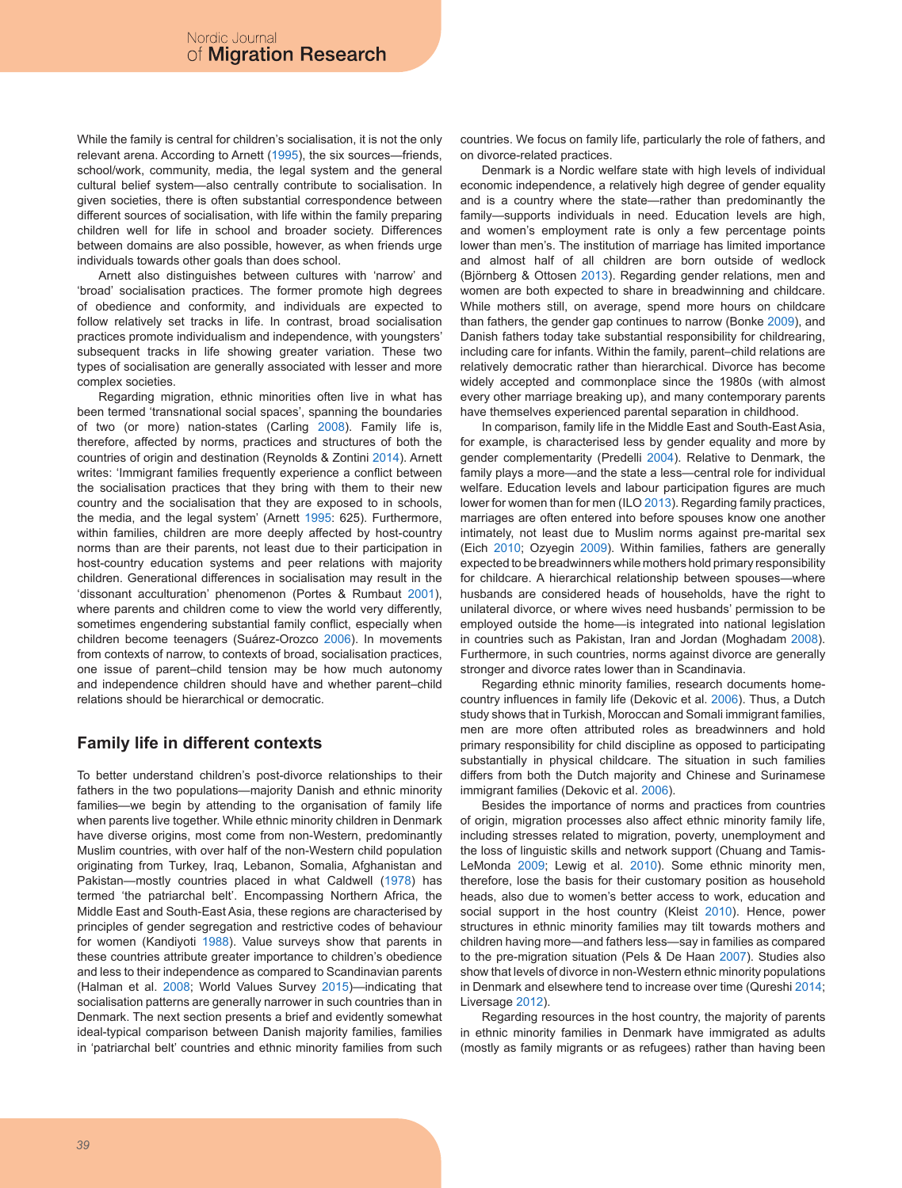While the family is central for children's socialisation, it is not the only relevant arena. According to Arnett (1995), the six sources—friends, school/work, community, media, the legal system and the general cultural belief system—also centrally contribute to socialisation. In given societies, there is often substantial correspondence between different sources of socialisation, with life within the family preparing children well for life in school and broader society. Differences between domains are also possible, however, as when friends urge individuals towards other goals than does school.

Arnett also distinguishes between cultures with 'narrow' and 'broad' socialisation practices. The former promote high degrees of obedience and conformity, and individuals are expected to follow relatively set tracks in life. In contrast, broad socialisation practices promote individualism and independence, with youngsters' subsequent tracks in life showing greater variation. These two types of socialisation are generally associated with lesser and more complex societies.

Regarding migration, ethnic minorities often live in what has been termed 'transnational social spaces', spanning the boundaries of two (or more) nation-states (Carling 2008). Family life is, therefore, affected by norms, practices and structures of both the countries of origin and destination (Reynolds & Zontini 2014). Arnett writes: 'Immigrant families frequently experience a conflict between the socialisation practices that they bring with them to their new country and the socialisation that they are exposed to in schools, the media, and the legal system' (Arnett 1995: 625). Furthermore, within families, children are more deeply affected by host-country norms than are their parents, not least due to their participation in host-country education systems and peer relations with majority children. Generational differences in socialisation may result in the 'dissonant acculturation' phenomenon (Portes & Rumbaut 2001), where parents and children come to view the world very differently, sometimes engendering substantial family conflict, especially when children become teenagers (Suárez-Orozco 2006). In movements from contexts of narrow, to contexts of broad, socialisation practices, one issue of parent–child tension may be how much autonomy and independence children should have and whether parent–child relations should be hierarchical or democratic.

# **Family life in different contexts**

To better understand children's post-divorce relationships to their fathers in the two populations—majority Danish and ethnic minority families—we begin by attending to the organisation of family life when parents live together. While ethnic minority children in Denmark have diverse origins, most come from non-Western, predominantly Muslim countries, with over half of the non-Western child population originating from Turkey, Iraq, Lebanon, Somalia, Afghanistan and Pakistan—mostly countries placed in what Caldwell (1978) has termed 'the patriarchal belt'. Encompassing Northern Africa, the Middle East and South-East Asia, these regions are characterised by principles of gender segregation and restrictive codes of behaviour for women (Kandiyoti 1988). Value surveys show that parents in these countries attribute greater importance to children's obedience and less to their independence as compared to Scandinavian parents (Halman et al. 2008; World Values Survey 2015)—indicating that socialisation patterns are generally narrower in such countries than in Denmark. The next section presents a brief and evidently somewhat ideal-typical comparison between Danish majority families, families in 'patriarchal belt' countries and ethnic minority families from such countries. We focus on family life, particularly the role of fathers, and on divorce-related practices.

Denmark is a Nordic welfare state with high levels of individual economic independence, a relatively high degree of gender equality and is a country where the state—rather than predominantly the family—supports individuals in need. Education levels are high, and women's employment rate is only a few percentage points lower than men's. The institution of marriage has limited importance and almost half of all children are born outside of wedlock (Björnberg & Ottosen 2013). Regarding gender relations, men and women are both expected to share in breadwinning and childcare. While mothers still, on average, spend more hours on childcare than fathers, the gender gap continues to narrow (Bonke 2009), and Danish fathers today take substantial responsibility for childrearing, including care for infants. Within the family, parent–child relations are relatively democratic rather than hierarchical. Divorce has become widely accepted and commonplace since the 1980s (with almost every other marriage breaking up), and many contemporary parents have themselves experienced parental separation in childhood.

In comparison, family life in the Middle East and South-East Asia, for example, is characterised less by gender equality and more by gender complementarity (Predelli 2004). Relative to Denmark, the family plays a more—and the state a less—central role for individual welfare. Education levels and labour participation figures are much lower for women than for men (ILO 2013). Regarding family practices, marriages are often entered into before spouses know one another intimately, not least due to Muslim norms against pre-marital sex (Eich 2010; Ozyegin 2009). Within families, fathers are generally expected to be breadwinners while mothers hold primary responsibility for childcare. A hierarchical relationship between spouses—where husbands are considered heads of households, have the right to unilateral divorce, or where wives need husbands' permission to be employed outside the home—is integrated into national legislation in countries such as Pakistan, Iran and Jordan (Moghadam 2008). Furthermore, in such countries, norms against divorce are generally stronger and divorce rates lower than in Scandinavia.

Regarding ethnic minority families, research documents homecountry influences in family life (Dekovic et al. 2006). Thus, a Dutch study shows that in Turkish, Moroccan and Somali immigrant families, men are more often attributed roles as breadwinners and hold primary responsibility for child discipline as opposed to participating substantially in physical childcare. The situation in such families differs from both the Dutch majority and Chinese and Surinamese immigrant families (Dekovic et al. 2006).

Besides the importance of norms and practices from countries of origin, migration processes also affect ethnic minority family life, including stresses related to migration, poverty, unemployment and the loss of linguistic skills and network support (Chuang and Tamis-LeMonda 2009; Lewig et al. 2010). Some ethnic minority men, therefore, lose the basis for their customary position as household heads, also due to women's better access to work, education and social support in the host country (Kleist 2010). Hence, power structures in ethnic minority families may tilt towards mothers and children having more—and fathers less—say in families as compared to the pre-migration situation (Pels & De Haan 2007). Studies also show that levels of divorce in non-Western ethnic minority populations in Denmark and elsewhere tend to increase over time (Qureshi 2014; Liversage 2012).

Regarding resources in the host country, the majority of parents in ethnic minority families in Denmark have immigrated as adults (mostly as family migrants or as refugees) rather than having been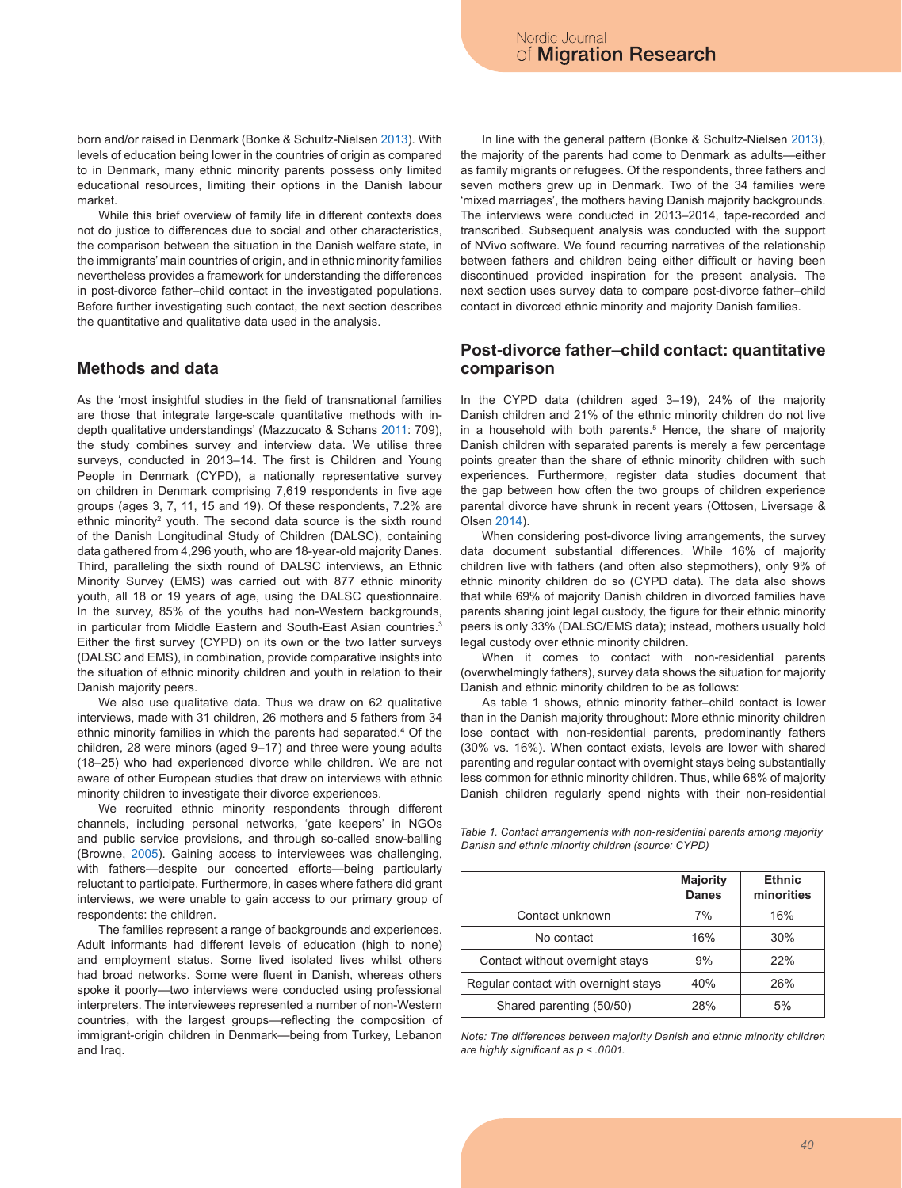born and/or raised in Denmark (Bonke & Schultz-Nielsen 2013). With levels of education being lower in the countries of origin as compared to in Denmark, many ethnic minority parents possess only limited educational resources, limiting their options in the Danish labour market.

While this brief overview of family life in different contexts does not do justice to differences due to social and other characteristics, the comparison between the situation in the Danish welfare state, in the immigrants' main countries of origin, and in ethnic minority families nevertheless provides a framework for understanding the differences in post-divorce father–child contact in the investigated populations. Before further investigating such contact, the next section describes the quantitative and qualitative data used in the analysis.

### **Methods and data**

As the 'most insightful studies in the field of transnational families are those that integrate large-scale quantitative methods with indepth qualitative understandings' (Mazzucato & Schans 2011: 709), the study combines survey and interview data. We utilise three surveys, conducted in 2013–14. The first is Children and Young People in Denmark (CYPD), a nationally representative survey on children in Denmark comprising 7,619 respondents in five age groups (ages 3, 7, 11, 15 and 19). Of these respondents, 7.2% are ethnic minority<sup>2</sup> youth. The second data source is the sixth round of the Danish Longitudinal Study of Children (DALSC), containing data gathered from 4,296 youth, who are 18-year-old majority Danes. Third, paralleling the sixth round of DALSC interviews, an Ethnic Minority Survey (EMS) was carried out with 877 ethnic minority youth, all 18 or 19 years of age, using the DALSC questionnaire. In the survey, 85% of the youths had non-Western backgrounds, in particular from Middle Eastern and South-East Asian countries.<sup>3</sup> Either the first survey (CYPD) on its own or the two latter surveys (DALSC and EMS), in combination, provide comparative insights into the situation of ethnic minority children and youth in relation to their Danish majority peers.

We also use qualitative data. Thus we draw on 62 qualitative interviews, made with 31 children, 26 mothers and 5 fathers from 34 ethnic minority families in which the parents had separated.**<sup>4</sup>** Of the children, 28 were minors (aged 9–17) and three were young adults (18–25) who had experienced divorce while children. We are not aware of other European studies that draw on interviews with ethnic minority children to investigate their divorce experiences.

We recruited ethnic minority respondents through different channels, including personal networks, 'gate keepers' in NGOs and public service provisions, and through so-called snow-balling (Browne, 2005). Gaining access to interviewees was challenging, with fathers—despite our concerted efforts—being particularly reluctant to participate. Furthermore, in cases where fathers did grant interviews, we were unable to gain access to our primary group of respondents: the children.

The families represent a range of backgrounds and experiences. Adult informants had different levels of education (high to none) and employment status. Some lived isolated lives whilst others had broad networks. Some were fluent in Danish, whereas others spoke it poorly—two interviews were conducted using professional interpreters. The interviewees represented a number of non-Western countries, with the largest groups—reflecting the composition of immigrant-origin children in Denmark—being from Turkey, Lebanon and Iraq.

In line with the general pattern (Bonke & Schultz-Nielsen 2013), the majority of the parents had come to Denmark as adults—either as family migrants or refugees. Of the respondents, three fathers and seven mothers grew up in Denmark. Two of the 34 families were 'mixed marriages', the mothers having Danish majority backgrounds. The interviews were conducted in 2013–2014, tape-recorded and transcribed. Subsequent analysis was conducted with the support of NVivo software. We found recurring narratives of the relationship between fathers and children being either difficult or having been discontinued provided inspiration for the present analysis. The next section uses survey data to compare post-divorce father–child contact in divorced ethnic minority and majority Danish families.

### **Post-divorce father–child contact: quantitative comparison**

In the CYPD data (children aged 3–19), 24% of the majority Danish children and 21% of the ethnic minority children do not live in a household with both parents.<sup>5</sup> Hence, the share of majority Danish children with separated parents is merely a few percentage points greater than the share of ethnic minority children with such experiences. Furthermore, register data studies document that the gap between how often the two groups of children experience parental divorce have shrunk in recent years (Ottosen, Liversage & Olsen 2014).

When considering post-divorce living arrangements, the survey data document substantial differences. While 16% of majority children live with fathers (and often also stepmothers), only 9% of ethnic minority children do so (CYPD data). The data also shows that while 69% of majority Danish children in divorced families have parents sharing joint legal custody, the figure for their ethnic minority peers is only 33% (DALSC/EMS data); instead, mothers usually hold legal custody over ethnic minority children.

When it comes to contact with non-residential parents (overwhelmingly fathers), survey data shows the situation for majority Danish and ethnic minority children to be as follows:

As table 1 shows, ethnic minority father–child contact is lower than in the Danish majority throughout: More ethnic minority children lose contact with non-residential parents, predominantly fathers (30% vs. 16%). When contact exists, levels are lower with shared parenting and regular contact with overnight stays being substantially less common for ethnic minority children. Thus, while 68% of majority Danish children regularly spend nights with their non-residential

*Table 1. Contact arrangements with non-residential parents among majority Danish and ethnic minority children (source: CYPD)*

|                                      | Majority<br><b>Danes</b> | <b>Ethnic</b><br>minorities |
|--------------------------------------|--------------------------|-----------------------------|
| Contact unknown                      | 7%                       | 16%                         |
| No contact                           | 16%                      | 30%                         |
| Contact without overnight stays      | 9%                       | 22%                         |
| Regular contact with overnight stays | 40%                      | 26%                         |
| Shared parenting (50/50)             | 28%                      | 5%                          |

*Note: The differences between majority Danish and ethnic minority children are highly significant as p < .0001.*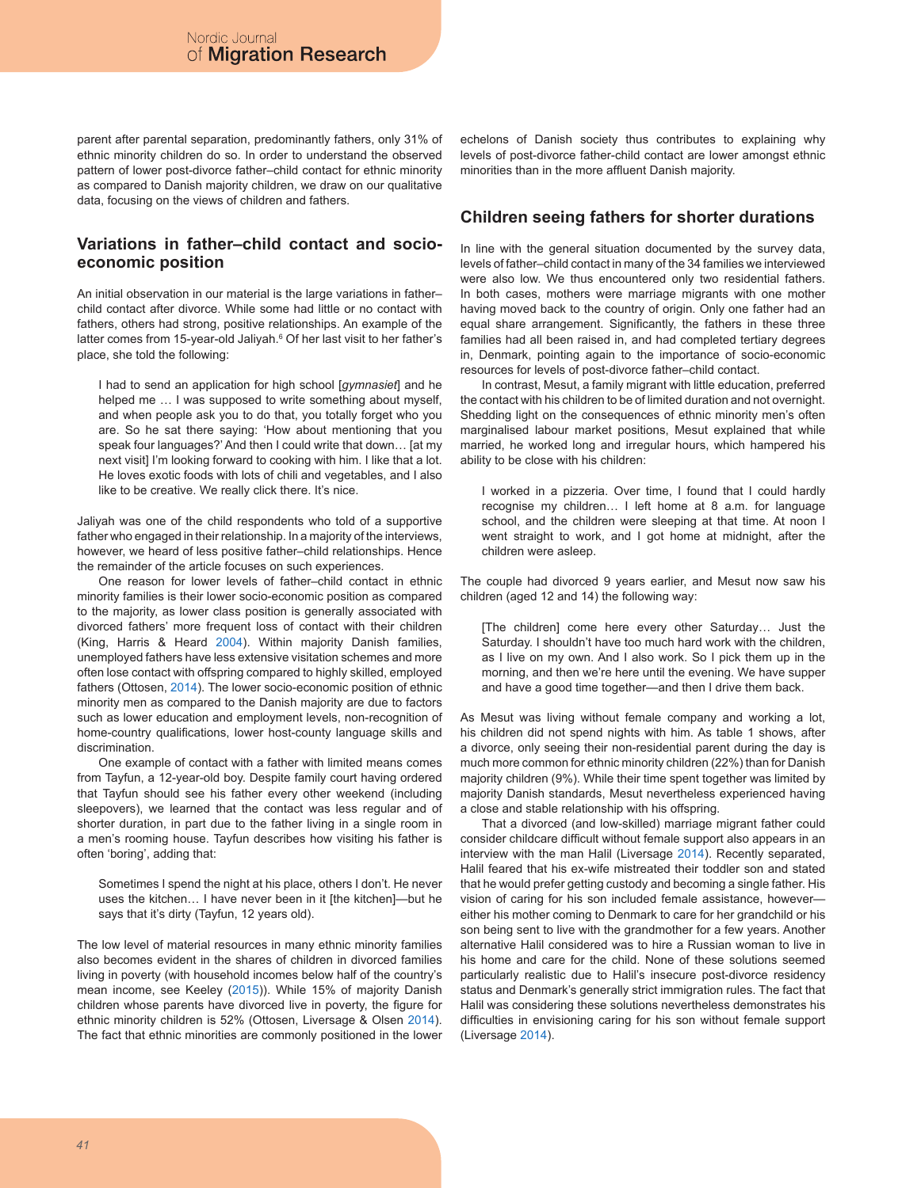parent after parental separation, predominantly fathers, only 31% of ethnic minority children do so. In order to understand the observed pattern of lower post-divorce father–child contact for ethnic minority as compared to Danish majority children, we draw on our qualitative data, focusing on the views of children and fathers.

# **Variations in father–child contact and socioeconomic position**

An initial observation in our material is the large variations in father– child contact after divorce. While some had little or no contact with fathers, others had strong, positive relationships. An example of the latter comes from 15-year-old Jaliyah.<sup>6</sup> Of her last visit to her father's place, she told the following:

I had to send an application for high school [*gymnasiet*] and he helped me ... I was supposed to write something about myself, and when people ask you to do that, you totally forget who you are. So he sat there saying: 'How about mentioning that you speak four languages?' And then I could write that down… [at my next visit] I'm looking forward to cooking with him. I like that a lot. He loves exotic foods with lots of chili and vegetables, and I also like to be creative. We really click there. It's nice.

Jaliyah was one of the child respondents who told of a supportive father who engaged in their relationship. In a majority of the interviews, however, we heard of less positive father–child relationships. Hence the remainder of the article focuses on such experiences.

One reason for lower levels of father–child contact in ethnic minority families is their lower socio-economic position as compared to the majority, as lower class position is generally associated with divorced fathers' more frequent loss of contact with their children (King, Harris & Heard 2004). Within majority Danish families, unemployed fathers have less extensive visitation schemes and more often lose contact with offspring compared to highly skilled, employed fathers (Ottosen, 2014). The lower socio-economic position of ethnic minority men as compared to the Danish majority are due to factors such as lower education and employment levels, non-recognition of home-country qualifications, lower host-county language skills and discrimination.

One example of contact with a father with limited means comes from Tayfun, a 12-year-old boy. Despite family court having ordered that Tayfun should see his father every other weekend (including sleepovers), we learned that the contact was less regular and of shorter duration, in part due to the father living in a single room in a men's rooming house. Tayfun describes how visiting his father is often 'boring', adding that:

Sometimes I spend the night at his place, others I don't. He never uses the kitchen… I have never been in it [the kitchen]—but he says that it's dirty (Tayfun, 12 years old).

The low level of material resources in many ethnic minority families also becomes evident in the shares of children in divorced families living in poverty (with household incomes below half of the country's mean income, see Keeley (2015)). While 15% of majority Danish children whose parents have divorced live in poverty, the figure for ethnic minority children is 52% (Ottosen, Liversage & Olsen 2014). The fact that ethnic minorities are commonly positioned in the lower echelons of Danish society thus contributes to explaining why levels of post-divorce father-child contact are lower amongst ethnic minorities than in the more affluent Danish majority.

# **Children seeing fathers for shorter durations**

In line with the general situation documented by the survey data, levels of father–child contact in many of the 34 families we interviewed were also low. We thus encountered only two residential fathers. In both cases, mothers were marriage migrants with one mother having moved back to the country of origin. Only one father had an equal share arrangement. Significantly, the fathers in these three families had all been raised in, and had completed tertiary degrees in, Denmark, pointing again to the importance of socio-economic resources for levels of post-divorce father–child contact.

In contrast, Mesut, a family migrant with little education, preferred the contact with his children to be of limited duration and not overnight. Shedding light on the consequences of ethnic minority men's often marginalised labour market positions, Mesut explained that while married, he worked long and irregular hours, which hampered his ability to be close with his children:

I worked in a pizzeria. Over time, I found that I could hardly recognise my children… I left home at 8 a.m. for language school, and the children were sleeping at that time. At noon I went straight to work, and I got home at midnight, after the children were asleep.

The couple had divorced 9 years earlier, and Mesut now saw his children (aged 12 and 14) the following way:

[The children] come here every other Saturday… Just the Saturday. I shouldn't have too much hard work with the children, as I live on my own. And I also work. So I pick them up in the morning, and then we're here until the evening. We have supper and have a good time together—and then I drive them back.

As Mesut was living without female company and working a lot, his children did not spend nights with him. As table 1 shows, after a divorce, only seeing their non-residential parent during the day is much more common for ethnic minority children (22%) than for Danish majority children (9%). While their time spent together was limited by majority Danish standards, Mesut nevertheless experienced having a close and stable relationship with his offspring.

That a divorced (and low-skilled) marriage migrant father could consider childcare difficult without female support also appears in an interview with the man Halil (Liversage 2014). Recently separated, Halil feared that his ex-wife mistreated their toddler son and stated that he would prefer getting custody and becoming a single father. His vision of caring for his son included female assistance, however either his mother coming to Denmark to care for her grandchild or his son being sent to live with the grandmother for a few years. Another alternative Halil considered was to hire a Russian woman to live in his home and care for the child. None of these solutions seemed particularly realistic due to Halil's insecure post-divorce residency status and Denmark's generally strict immigration rules. The fact that Halil was considering these solutions nevertheless demonstrates his difficulties in envisioning caring for his son without female support (Liversage 2014).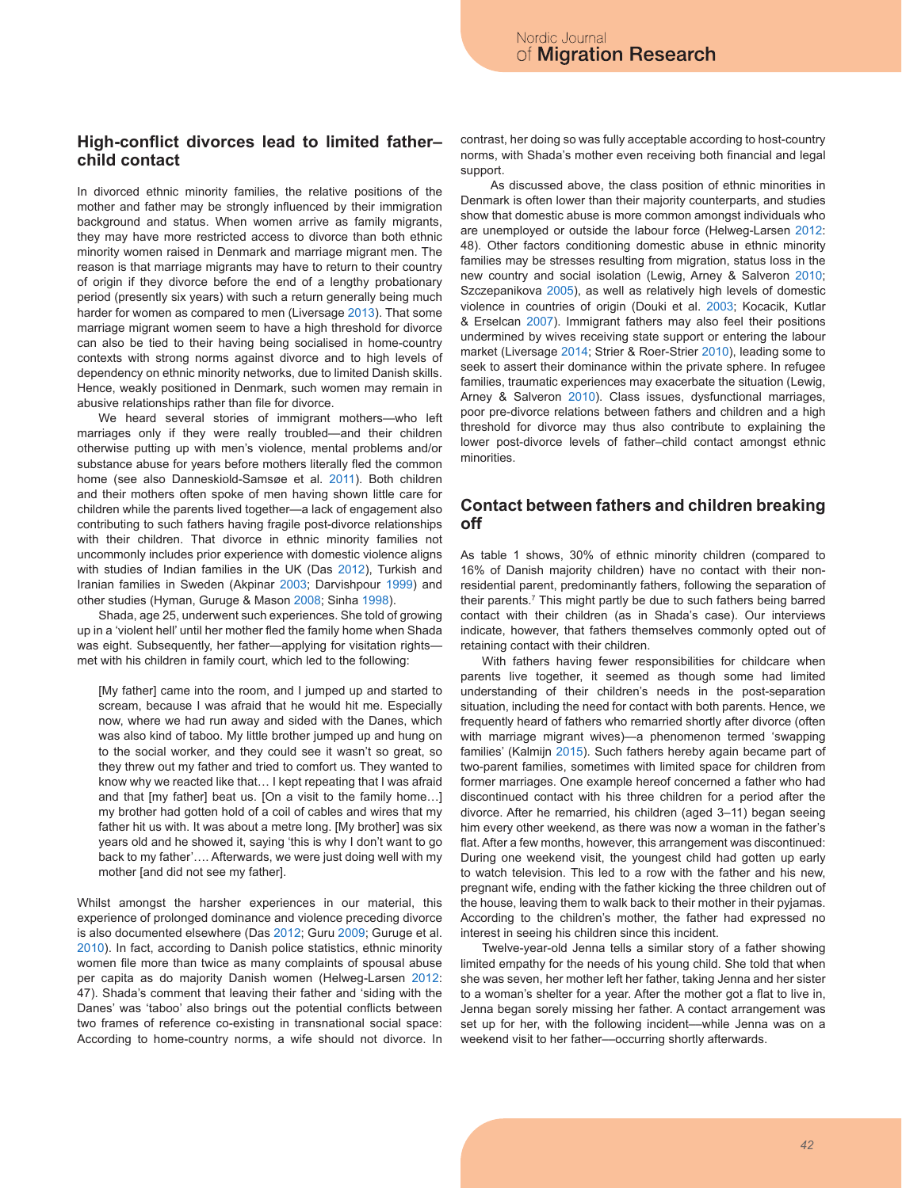## **High-conflict divorces lead to limited father– child contact**

In divorced ethnic minority families, the relative positions of the mother and father may be strongly influenced by their immigration background and status. When women arrive as family migrants, they may have more restricted access to divorce than both ethnic minority women raised in Denmark and marriage migrant men. The reason is that marriage migrants may have to return to their country of origin if they divorce before the end of a lengthy probationary period (presently six years) with such a return generally being much harder for women as compared to men (Liversage 2013). That some marriage migrant women seem to have a high threshold for divorce can also be tied to their having being socialised in home-country contexts with strong norms against divorce and to high levels of dependency on ethnic minority networks, due to limited Danish skills. Hence, weakly positioned in Denmark, such women may remain in abusive relationships rather than file for divorce.

We heard several stories of immigrant mothers—who left marriages only if they were really troubled—and their children otherwise putting up with men's violence, mental problems and/or substance abuse for years before mothers literally fled the common home (see also Danneskiold-Samsøe et al. 2011). Both children and their mothers often spoke of men having shown little care for children while the parents lived together—a lack of engagement also contributing to such fathers having fragile post-divorce relationships with their children. That divorce in ethnic minority families not uncommonly includes prior experience with domestic violence aligns with studies of Indian families in the UK (Das 2012), Turkish and Iranian families in Sweden (Akpinar 2003; Darvishpour 1999) and other studies (Hyman, Guruge & Mason 2008; Sinha 1998).

Shada, age 25, underwent such experiences. She told of growing up in a 'violent hell' until her mother fled the family home when Shada was eight. Subsequently, her father—applying for visitation rightsmet with his children in family court, which led to the following:

[My father] came into the room, and I jumped up and started to scream, because I was afraid that he would hit me. Especially now, where we had run away and sided with the Danes, which was also kind of taboo. My little brother jumped up and hung on to the social worker, and they could see it wasn't so great, so they threw out my father and tried to comfort us. They wanted to know why we reacted like that… I kept repeating that I was afraid and that [my father] beat us. [On a visit to the family home…] my brother had gotten hold of a coil of cables and wires that my father hit us with. It was about a metre long. [My brother] was six years old and he showed it, saying 'this is why I don't want to go back to my father'…. Afterwards, we were just doing well with my mother [and did not see my father].

Whilst amongst the harsher experiences in our material, this experience of prolonged dominance and violence preceding divorce is also documented elsewhere (Das 2012; Guru 2009; Guruge et al. 2010). In fact, according to Danish police statistics, ethnic minority women file more than twice as many complaints of spousal abuse per capita as do majority Danish women (Helweg-Larsen 2012: 47). Shada's comment that leaving their father and 'siding with the Danes' was 'taboo' also brings out the potential conflicts between two frames of reference co-existing in transnational social space: According to home-country norms, a wife should not divorce. In contrast, her doing so was fully acceptable according to host-country norms, with Shada's mother even receiving both financial and legal support.

As discussed above, the class position of ethnic minorities in Denmark is often lower than their majority counterparts, and studies show that domestic abuse is more common amongst individuals who are unemployed or outside the labour force (Helweg-Larsen 2012: 48). Other factors conditioning domestic abuse in ethnic minority families may be stresses resulting from migration, status loss in the new country and social isolation (Lewig, Arney & Salveron 2010; Szczepanikova 2005), as well as relatively high levels of domestic violence in countries of origin (Douki et al. 2003; Kocacik, Kutlar & Erselcan 2007). Immigrant fathers may also feel their positions undermined by wives receiving state support or entering the labour market (Liversage 2014; Strier & Roer-Strier 2010), leading some to seek to assert their dominance within the private sphere. In refugee families, traumatic experiences may exacerbate the situation (Lewig, Arney & Salveron 2010). Class issues, dysfunctional marriages, poor pre-divorce relations between fathers and children and a high threshold for divorce may thus also contribute to explaining the lower post-divorce levels of father–child contact amongst ethnic minorities.

### **Contact between fathers and children breaking off**

As table 1 shows, 30% of ethnic minority children (compared to 16% of Danish majority children) have no contact with their nonresidential parent, predominantly fathers, following the separation of their parents.7 This might partly be due to such fathers being barred contact with their children (as in Shada's case). Our interviews indicate, however, that fathers themselves commonly opted out of retaining contact with their children.

With fathers having fewer responsibilities for childcare when parents live together, it seemed as though some had limited understanding of their children's needs in the post-separation situation, including the need for contact with both parents. Hence, we frequently heard of fathers who remarried shortly after divorce (often with marriage migrant wives)—a phenomenon termed 'swapping families' (Kalmijn 2015). Such fathers hereby again became part of two-parent families, sometimes with limited space for children from former marriages. One example hereof concerned a father who had discontinued contact with his three children for a period after the divorce. After he remarried, his children (aged 3–11) began seeing him every other weekend, as there was now a woman in the father's flat. After a few months, however, this arrangement was discontinued: During one weekend visit, the youngest child had gotten up early to watch television. This led to a row with the father and his new, pregnant wife, ending with the father kicking the three children out of the house, leaving them to walk back to their mother in their pyjamas. According to the children's mother, the father had expressed no interest in seeing his children since this incident.

Twelve-year-old Jenna tells a similar story of a father showing limited empathy for the needs of his young child. She told that when she was seven, her mother left her father, taking Jenna and her sister to a woman's shelter for a year. After the mother got a flat to live in, Jenna began sorely missing her father. A contact arrangement was set up for her, with the following incident---while Jenna was on a weekend visit to her father––occurring shortly afterwards.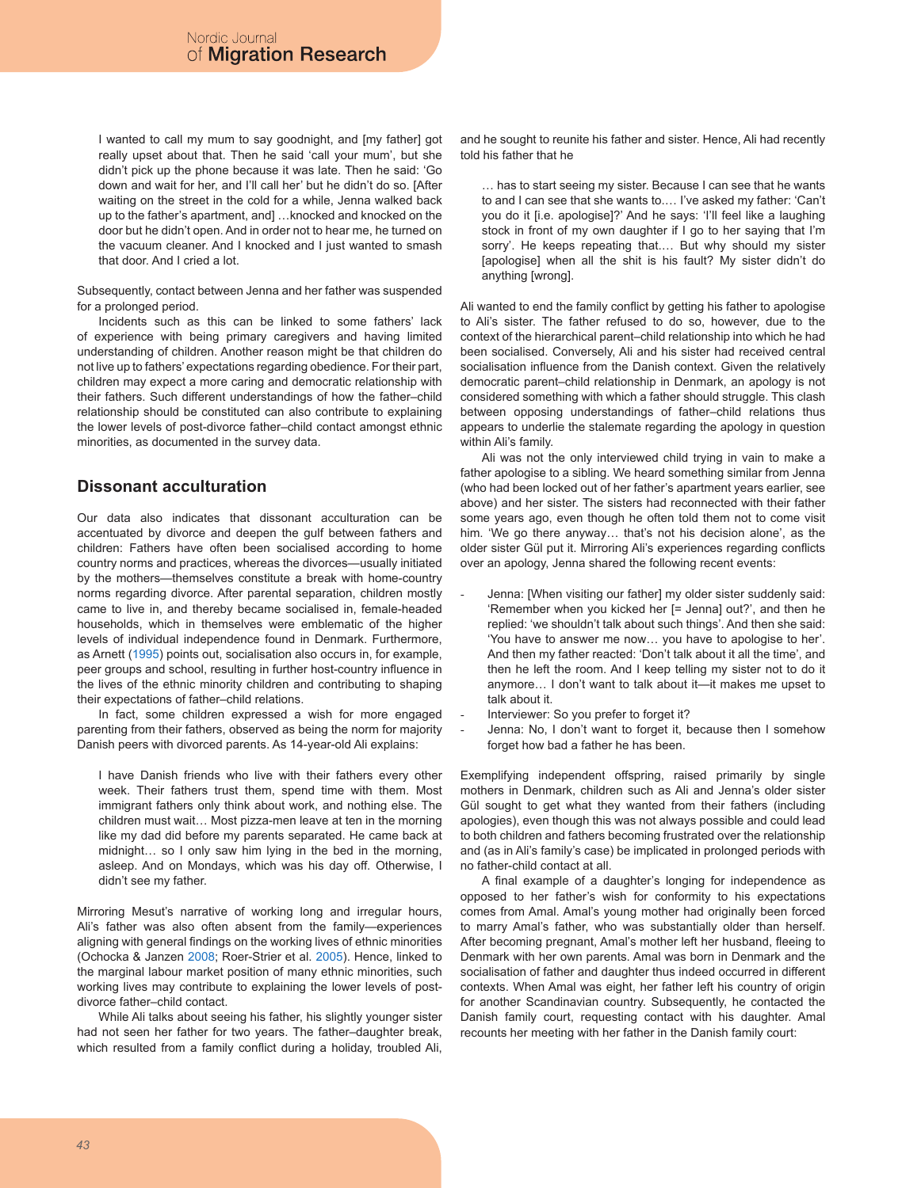I wanted to call my mum to say goodnight, and [my father] got really upset about that. Then he said 'call your mum', but she didn't pick up the phone because it was late. Then he said: 'Go down and wait for her, and I'll call her' but he didn't do so. [After waiting on the street in the cold for a while, Jenna walked back up to the father's apartment, and] …knocked and knocked on the door but he didn't open. And in order not to hear me, he turned on the vacuum cleaner. And I knocked and I just wanted to smash that door. And I cried a lot.

Subsequently, contact between Jenna and her father was suspended for a prolonged period.

Incidents such as this can be linked to some fathers' lack of experience with being primary caregivers and having limited understanding of children. Another reason might be that children do not live up to fathers' expectations regarding obedience. For their part, children may expect a more caring and democratic relationship with their fathers. Such different understandings of how the father–child relationship should be constituted can also contribute to explaining the lower levels of post-divorce father–child contact amongst ethnic minorities, as documented in the survey data.

# **Dissonant acculturation**

Our data also indicates that dissonant acculturation can be accentuated by divorce and deepen the gulf between fathers and children: Fathers have often been socialised according to home country norms and practices, whereas the divorces—usually initiated by the mothers—themselves constitute a break with home-country norms regarding divorce. After parental separation, children mostly came to live in, and thereby became socialised in, female-headed households, which in themselves were emblematic of the higher levels of individual independence found in Denmark. Furthermore, as Arnett (1995) points out, socialisation also occurs in, for example, peer groups and school, resulting in further host-country influence in the lives of the ethnic minority children and contributing to shaping their expectations of father–child relations.

In fact, some children expressed a wish for more engaged parenting from their fathers, observed as being the norm for majority Danish peers with divorced parents. As 14-year-old Ali explains:

I have Danish friends who live with their fathers every other week. Their fathers trust them, spend time with them. Most immigrant fathers only think about work, and nothing else. The children must wait… Most pizza-men leave at ten in the morning like my dad did before my parents separated. He came back at midnight… so I only saw him lying in the bed in the morning, asleep. And on Mondays, which was his day off. Otherwise, I didn't see my father.

Mirroring Mesut's narrative of working long and irregular hours, Ali's father was also often absent from the family—experiences aligning with general findings on the working lives of ethnic minorities (Ochocka & Janzen 2008; Roer-Strier et al. 2005). Hence, linked to the marginal labour market position of many ethnic minorities, such working lives may contribute to explaining the lower levels of postdivorce father–child contact.

While Ali talks about seeing his father, his slightly younger sister had not seen her father for two years. The father–daughter break, which resulted from a family conflict during a holiday, troubled Ali, and he sought to reunite his father and sister. Hence, Ali had recently told his father that he

… has to start seeing my sister. Because I can see that he wants to and I can see that she wants to.… I've asked my father: 'Can't you do it [i.e. apologise]?' And he says: 'I'll feel like a laughing stock in front of my own daughter if I go to her saying that I'm sorry'. He keeps repeating that.… But why should my sister [apologise] when all the shit is his fault? My sister didn't do anything [wrong].

Ali wanted to end the family conflict by getting his father to apologise to Ali's sister. The father refused to do so, however, due to the context of the hierarchical parent–child relationship into which he had been socialised. Conversely, Ali and his sister had received central socialisation influence from the Danish context. Given the relatively democratic parent–child relationship in Denmark, an apology is not considered something with which a father should struggle. This clash between opposing understandings of father–child relations thus appears to underlie the stalemate regarding the apology in question within Ali's family.

Ali was not the only interviewed child trying in vain to make a father apologise to a sibling. We heard something similar from Jenna (who had been locked out of her father's apartment years earlier, see above) and her sister. The sisters had reconnected with their father some years ago, even though he often told them not to come visit him. 'We go there anyway… that's not his decision alone', as the older sister Gül put it. Mirroring Ali's experiences regarding conflicts over an apology, Jenna shared the following recent events:

- Jenna: [When visiting our father] my older sister suddenly said: 'Remember when you kicked her [= Jenna] out?', and then he replied: 'we shouldn't talk about such things'. And then she said: 'You have to answer me now… you have to apologise to her'. And then my father reacted: 'Don't talk about it all the time', and then he left the room. And I keep telling my sister not to do it anymore… I don't want to talk about it—it makes me upset to talk about it.
- Interviewer: So you prefer to forget it?
- Jenna: No, I don't want to forget it, because then I somehow forget how bad a father he has been.

Exemplifying independent offspring, raised primarily by single mothers in Denmark, children such as Ali and Jenna's older sister Gül sought to get what they wanted from their fathers (including apologies), even though this was not always possible and could lead to both children and fathers becoming frustrated over the relationship and (as in Ali's family's case) be implicated in prolonged periods with no father-child contact at all.

A final example of a daughter's longing for independence as opposed to her father's wish for conformity to his expectations comes from Amal. Amal's young mother had originally been forced to marry Amal's father, who was substantially older than herself. After becoming pregnant, Amal's mother left her husband, fleeing to Denmark with her own parents. Amal was born in Denmark and the socialisation of father and daughter thus indeed occurred in different contexts. When Amal was eight, her father left his country of origin for another Scandinavian country. Subsequently, he contacted the Danish family court, requesting contact with his daughter. Amal recounts her meeting with her father in the Danish family court: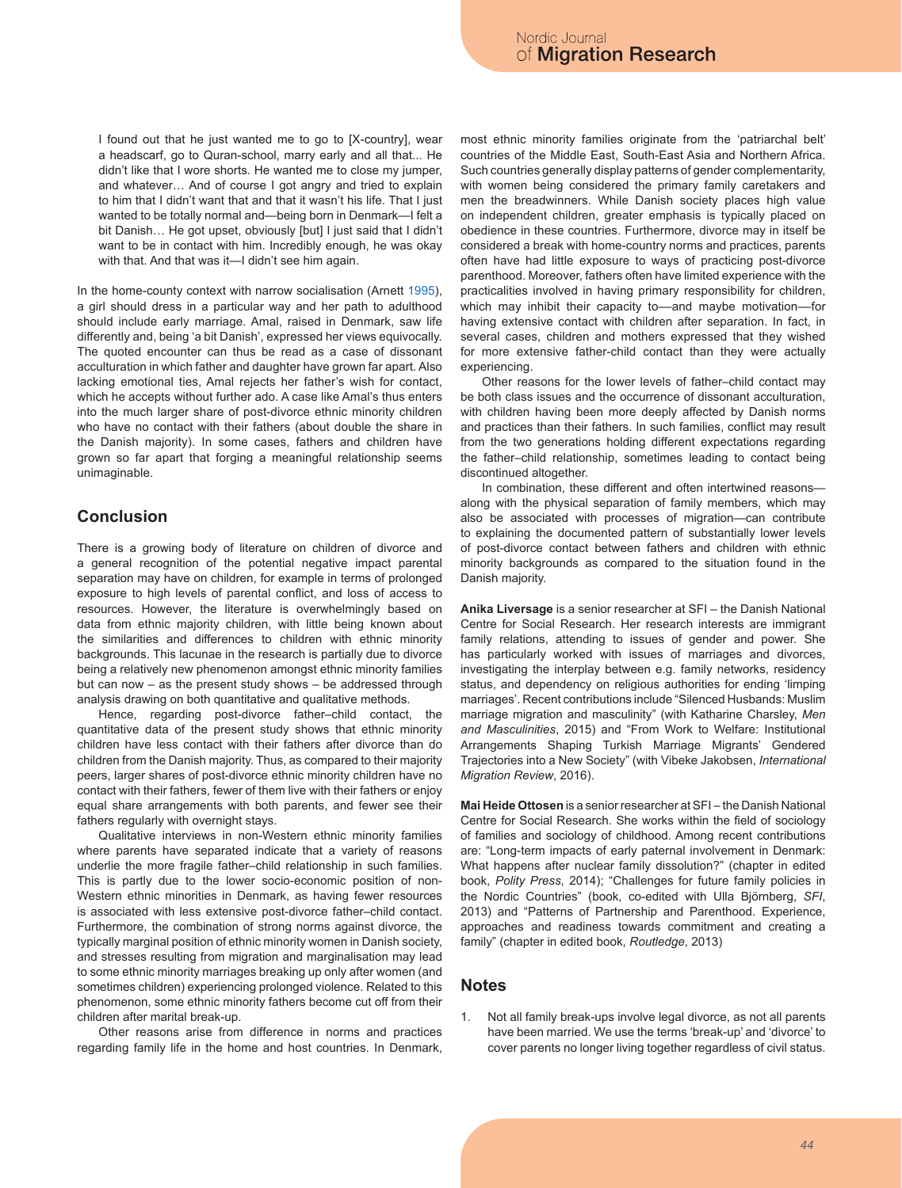I found out that he just wanted me to go to [X-country], wear a headscarf, go to Quran-school, marry early and all that... He didn't like that I wore shorts. He wanted me to close my jumper, and whatever… And of course I got angry and tried to explain to him that I didn't want that and that it wasn't his life. That I just wanted to be totally normal and—being born in Denmark—I felt a bit Danish… He got upset, obviously [but] I just said that I didn't want to be in contact with him. Incredibly enough, he was okay with that. And that was it—I didn't see him again.

In the home-county context with narrow socialisation (Arnett 1995), a girl should dress in a particular way and her path to adulthood should include early marriage. Amal, raised in Denmark, saw life differently and, being 'a bit Danish', expressed her views equivocally. The quoted encounter can thus be read as a case of dissonant acculturation in which father and daughter have grown far apart. Also lacking emotional ties, Amal rejects her father's wish for contact, which he accepts without further ado. A case like Amal's thus enters into the much larger share of post-divorce ethnic minority children who have no contact with their fathers (about double the share in the Danish majority). In some cases, fathers and children have grown so far apart that forging a meaningful relationship seems unimaginable.

# **Conclusion**

There is a growing body of literature on children of divorce and a general recognition of the potential negative impact parental separation may have on children, for example in terms of prolonged exposure to high levels of parental conflict, and loss of access to resources. However, the literature is overwhelmingly based on data from ethnic majority children, with little being known about the similarities and differences to children with ethnic minority backgrounds. This lacunae in the research is partially due to divorce being a relatively new phenomenon amongst ethnic minority families but can now – as the present study shows – be addressed through analysis drawing on both quantitative and qualitative methods.

Hence, regarding post-divorce father–child contact, the quantitative data of the present study shows that ethnic minority children have less contact with their fathers after divorce than do children from the Danish majority. Thus, as compared to their majority peers, larger shares of post-divorce ethnic minority children have no contact with their fathers, fewer of them live with their fathers or enjoy equal share arrangements with both parents, and fewer see their fathers regularly with overnight stays.

Qualitative interviews in non-Western ethnic minority families where parents have separated indicate that a variety of reasons underlie the more fragile father–child relationship in such families. This is partly due to the lower socio-economic position of non-Western ethnic minorities in Denmark, as having fewer resources is associated with less extensive post-divorce father–child contact. Furthermore, the combination of strong norms against divorce, the typically marginal position of ethnic minority women in Danish society, and stresses resulting from migration and marginalisation may lead to some ethnic minority marriages breaking up only after women (and sometimes children) experiencing prolonged violence. Related to this phenomenon, some ethnic minority fathers become cut off from their children after marital break-up.

Other reasons arise from difference in norms and practices regarding family life in the home and host countries. In Denmark, most ethnic minority families originate from the 'patriarchal belt' countries of the Middle East, South-East Asia and Northern Africa. Such countries generally display patterns of gender complementarity, with women being considered the primary family caretakers and men the breadwinners. While Danish society places high value on independent children, greater emphasis is typically placed on obedience in these countries. Furthermore, divorce may in itself be considered a break with home-country norms and practices, parents often have had little exposure to ways of practicing post-divorce parenthood. Moreover, fathers often have limited experience with the practicalities involved in having primary responsibility for children, which may inhibit their capacity to--- and maybe motivation--- for having extensive contact with children after separation. In fact, in several cases, children and mothers expressed that they wished for more extensive father-child contact than they were actually experiencing.

Other reasons for the lower levels of father–child contact may be both class issues and the occurrence of dissonant acculturation, with children having been more deeply affected by Danish norms and practices than their fathers. In such families, conflict may result from the two generations holding different expectations regarding the father–child relationship, sometimes leading to contact being discontinued altogether.

In combination, these different and often intertwined reasons along with the physical separation of family members, which may also be associated with processes of migration—can contribute to explaining the documented pattern of substantially lower levels of post-divorce contact between fathers and children with ethnic minority backgrounds as compared to the situation found in the Danish majority.

**Anika Liversage** is a senior researcher at SFI – the Danish National Centre for Social Research. Her research interests are immigrant family relations, attending to issues of gender and power. She has particularly worked with issues of marriages and divorces, investigating the interplay between e.g. family networks, residency status, and dependency on religious authorities for ending 'limping marriages'. Recent contributions include "Silenced Husbands: Muslim marriage migration and masculinity" (with Katharine Charsley, *Men and Masculinities*, 2015) and "From Work to Welfare: Institutional Arrangements Shaping Turkish Marriage Migrants' Gendered Trajectories into a New Society" (with Vibeke Jakobsen, *International Migration Review*, 2016).

**Mai Heide Ottosen** is a senior researcher at SFI – the Danish National Centre for Social Research. She works within the field of sociology of families and sociology of childhood. Among recent contributions are: "Long-term impacts of early paternal involvement in Denmark: What happens after nuclear family dissolution?" (chapter in edited book, *Polity Press*, 2014); "Challenges for future family policies in the Nordic Countries" (book, co-edited with Ulla Björnberg, *SFI*, 2013) and "Patterns of Partnership and Parenthood. Experience, approaches and readiness towards commitment and creating a family" (chapter in edited book, *Routledge*, 2013)

#### **Notes**

1. Not all family break-ups involve legal divorce, as not all parents have been married. We use the terms 'break-up' and 'divorce' to cover parents no longer living together regardless of civil status.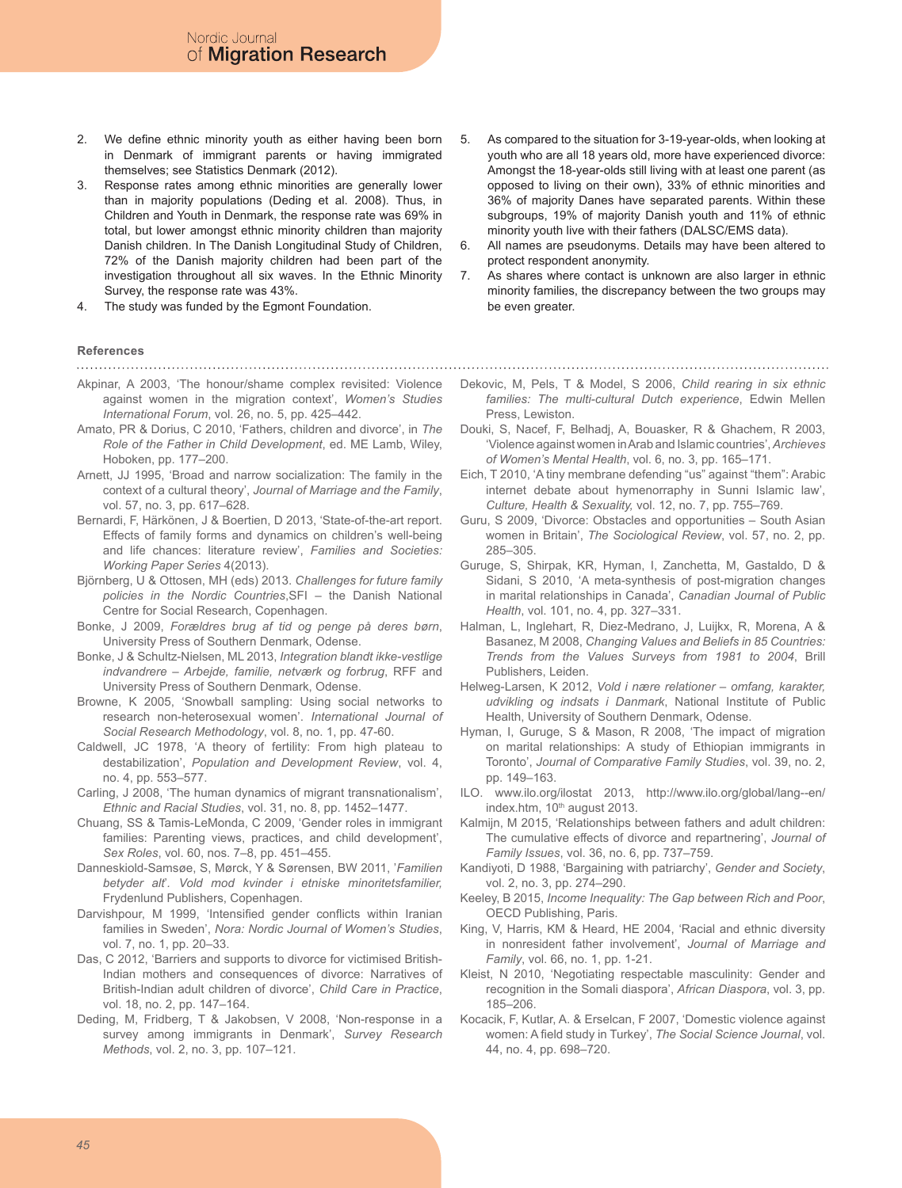Nordic Journal of Migration Research

- 2. We define ethnic minority youth as either having been born in Denmark of immigrant parents or having immigrated themselves; see Statistics Denmark (2012).
- 3. Response rates among ethnic minorities are generally lower than in majority populations (Deding et al. 2008). Thus, in Children and Youth in Denmark, the response rate was 69% in total, but lower amongst ethnic minority children than majority Danish children. In The Danish Longitudinal Study of Children, 72% of the Danish majority children had been part of the investigation throughout all six waves. In the Ethnic Minority Survey, the response rate was 43%.
- 4. The study was funded by the Egmont Foundation.
- **References**

- Akpinar, A 2003, 'The honour/shame complex revisited: Violence against women in the migration context', *Women's Studies International Forum*, vol. 26, no. 5, pp. 425–442.
- Amato, PR & Dorius, C 2010, 'Fathers, children and divorce', in *The Role of the Father in Child Development*, ed. ME Lamb, Wiley, Hoboken, pp. 177–200.
- Arnett, JJ 1995, 'Broad and narrow socialization: The family in the context of a cultural theory', *Journal of Marriage and the Family*, vol. 57, no. 3, pp. 617–628.
- Bernardi, F, Härkönen, J & Boertien, D 2013, 'State-of-the-art report. Effects of family forms and dynamics on children's well-being and life chances: literature review', *Families and Societies: Working Paper Series* 4(2013).
- Björnberg, U & Ottosen, MH (eds) 2013. *Challenges for future family policies in the Nordic Countries*,SFI – the Danish National Centre for Social Research, Copenhagen.
- Bonke, J 2009, *Forældres brug af tid og penge på deres børn*, University Press of Southern Denmark, Odense.
- Bonke, J & Schultz-Nielsen, ML 2013, *Integration blandt ikke-vestlige indvandrere – Arbejde, familie, netværk og forbrug*, RFF and University Press of Southern Denmark, Odense.
- Browne, K 2005, 'Snowball sampling: Using social networks to research non-heterosexual women'. *International Journal of Social Research Methodology*, vol. 8, no. 1, pp. 47-60.
- Caldwell, JC 1978, 'A theory of fertility: From high plateau to destabilization', *Population and Development Review*, vol. 4, no. 4, pp. 553–577.
- Carling, J 2008, 'The human dynamics of migrant transnationalism', *Ethnic and Racial Studies*, vol. 31, no. 8, pp. 1452–1477.
- Chuang, SS & Tamis-LeMonda, C 2009, 'Gender roles in immigrant families: Parenting views, practices, and child development', *Sex Roles*, vol. 60, nos. 7–8, pp. 451–455.
- Danneskiold-Samsøe, S, Mørck, Y & Sørensen, BW 2011, '*Familien betyder alt*'*. Vold mod kvinder i etniske minoritetsfamilier,*  Frydenlund Publishers, Copenhagen.
- Darvishpour, M 1999, 'Intensified gender conflicts within Iranian families in Sweden', *Nora: Nordic Journal of Women's Studies*, vol. 7, no. 1, pp. 20–33.
- Das, C 2012, 'Barriers and supports to divorce for victimised British-Indian mothers and consequences of divorce: Narratives of British-Indian adult children of divorce', *Child Care in Practice*, vol. 18, no. 2, pp. 147–164.
- Deding, M, Fridberg, T & Jakobsen, V 2008, 'Non-response in a survey among immigrants in Denmark', *Survey Research Methods*, vol. 2, no. 3, pp. 107–121.
- 5. As compared to the situation for 3-19-year-olds, when looking at youth who are all 18 years old, more have experienced divorce: Amongst the 18-year-olds still living with at least one parent (as opposed to living on their own), 33% of ethnic minorities and 36% of majority Danes have separated parents. Within these subgroups, 19% of majority Danish youth and 11% of ethnic minority youth live with their fathers (DALSC/EMS data).
- 6. All names are pseudonyms. Details may have been altered to protect respondent anonymity.
- 7. As shares where contact is unknown are also larger in ethnic minority families, the discrepancy between the two groups may be even greater.
- Dekovic, M, Pels, T & Model, S 2006, *Child rearing in six ethnic families: The multi-cultural Dutch experience*, Edwin Mellen Press, Lewiston.
- Douki, S, Nacef, F, Belhadj, A, Bouasker, R & Ghachem, R 2003, 'Violence against women in Arab and Islamic countries', *Archieves of Women's Mental Health*, vol. 6, no. 3, pp. 165–171.
- Eich, T 2010, 'A tiny membrane defending "us" against "them": Arabic internet debate about hymenorraphy in Sunni Islamic law', *Culture, Health & Sexuality,* vol. 12, no. 7, pp. 755–769.
- Guru, S 2009, 'Divorce: Obstacles and opportunities South Asian women in Britain', *The Sociological Review*, vol. 57, no. 2, pp. 285–305.
- Guruge, S, Shirpak, KR, Hyman, I, Zanchetta, M, Gastaldo, D & Sidani, S 2010, 'A meta-synthesis of post-migration changes in marital relationships in Canada', *Canadian Journal of Public Health*, vol. 101, no. 4, pp. 327–331.
- Halman, L, Inglehart, R, Diez-Medrano, J, Luijkx, R, Morena, A & Basanez, M 2008, *Changing Values and Beliefs in 85 Countries: Trends from the Values Surveys from 1981 to 2004*, Brill Publishers, Leiden.
- Helweg-Larsen, K 2012, *Vold i nære relationer omfang, karakter, udvikling og indsats i Danmark*, National Institute of Public Health, University of Southern Denmark, Odense.
- Hyman, I, Guruge, S & Mason, R 2008, 'The impact of migration on marital relationships: A study of Ethiopian immigrants in Toronto', *Journal of Comparative Family Studies*, vol. 39, no. 2, pp. 149–163.
- ILO. www.ilo.org/ilostat 2013, http://www.ilo.org/global/lang--en/ index.htm, 10<sup>th</sup> august 2013.
- Kalmijn, M 2015, 'Relationships between fathers and adult children: The cumulative effects of divorce and repartnering', *Journal of Family Issues*, vol. 36, no. 6, pp. 737–759.
- Kandiyoti, D 1988, 'Bargaining with patriarchy', *Gender and Society*, vol. 2, no. 3, pp. 274–290.
- Keeley, B 2015, *Income Inequality: The Gap between Rich and Poor*, OECD Publishing, Paris.
- King, V, Harris, KM & Heard, HE 2004, 'Racial and ethnic diversity in nonresident father involvement', *Journal of Marriage and Family*, vol. 66, no. 1, pp. 1-21.
- Kleist, N 2010, 'Negotiating respectable masculinity: Gender and recognition in the Somali diaspora', *African Diaspora*, vol. 3, pp. 185–206.
- Kocacik, F, Kutlar, A. & Erselcan, F 2007, 'Domestic violence against women: A field study in Turkey', *The Social Science Journal*, vol. 44, no. 4, pp. 698–720.